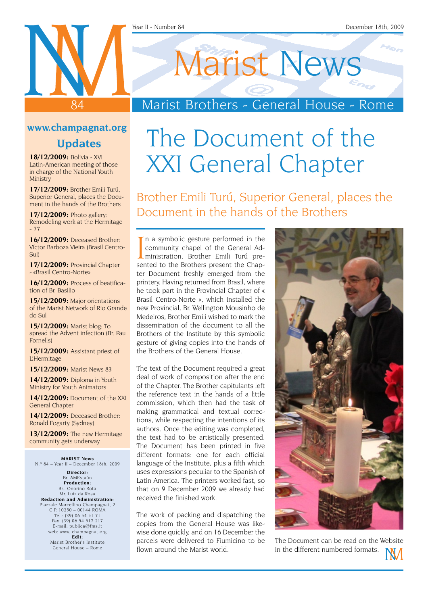# Marist News

## Marist Brothers - General House - Rome

### **www.champagnat.org**

84

### **Updates**

**18/12/2009:** Bolivia - XVI Latin-American meeting of those in charge of the National Youth Ministry

**17/12/2009:** Brother Emili Turú, Superior General, places the Document in the hands of the Brothers

**17/12/2009:** Photo gallery: Remodeling work at the Hermitage  $-77$ 

**16/12/2009:** Deceased Brother: Víctor Barboza Vieira (Brasil Centro-Sul)

**17/12/2009:** Provincial Chapter - «Brasil Centro-Norte»

**16/12/2009:** Process of beatification of Br. Basilio

**15/12/2009:** Major orientations of the Marist Network of Rio Grande do Sul

**15/12/2009:** Marist blog: To spread the Advent infection (Br. Pau Fornells)

**15/12/2009:** Assistant priest of L'Hermitage

**15/12/2009:** Marist News 83

**14/12/2009:** Diploma in Youth Ministry for Youth Animators

**14/12/2009:** Document of the XXI General Chapter

**14/12/2009:** Deceased Brother: Ronald Fogarty (Sydney)

**13/12/2009:** The new Hermitage community gets underway

**Marist News** N.º 84 – Year II – December 18th, 2009

**Director:** Br. AMEstaún **Production:** Br.. Onorino Rota Mr. Luiz da Rosa **Redaction and Administration:** Piazzale Marcellino Champagnat, 2 C.P. 10250 – 00144 ROMA Tel.: (39) 06 54 51 71 Fax: (39) 06 54 517 217 E-mail: publica@fms.it web: www. champagnat.org **Edit:** Marist Brother's Institute General House – Rome

## The Document of the XXI General Chapter

Brother Emili Turú, Superior General, places the Document in the hands of the Brothers

In a symbolic gesture performed in the<br>community chapel of the General Ad-<br>ministration, Brothers present the Chap-<br>sented to the Brothers present the Chap-In a symbolic gesture performed in the community chapel of the General Adsented to the Brothers present the Chapter Document freshly emerged from the printery. Having returned from Brasil, where he took part in the Provincial Chapter of « Brasil Centro-Norte », which installed the new Provincial, Br. Wellington Mousinho de Medeiros, Brother Emili wished to mark the dissemination of the document to all the Brothers of the Institute by this symbolic gesture of giving copies into the hands of the Brothers of the General House.

The text of the Document required a great deal of work of composition after the end of the Chapter. The Brother capitulants left the reference text in the hands of a little commission, which then had the task of making grammatical and textual corrections, while respecting the intentions of its authors. Once the editing was completed, the text had to be artistically presented. The Document has been printed in five different formats: one for each official language of the Institute, plus a fifth which uses expressions peculiar to the Spanish of Latin America. The printers worked fast, so that on 9 December 2009 we already had received the finished work.

The work of packing and dispatching the copies from the General House was likewise done quickly, and on 16 December the parcels were delivered to Fiumicino to be flown around the Marist world.



The Document can be read on the Website in the different numbered formats.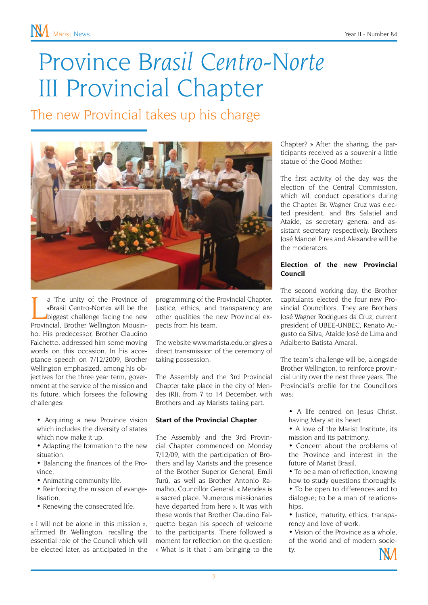## Province *Brasil Centro-Norte* III Provincial Chapter

The new Provincial takes up his charge



The unity of the Province of<br>
«Brasil Centro-Norte» will be the<br>
biggest challenge facing the new<br>
Provincial, Brother Wellington Mousina The unity of the Province of «Brasil Centro-Norte» will be the biggest challenge facing the new ho. His predecessor, Brother Claudino Falchetto, addressed him some moving words on this occasion. In his acceptance speech on 7/12/2009, Brother Wellington emphasized, among his objectives for the three year term, government at the service of the mission and its future, which forsees the following challenges:

• Acquiring a new Province vision which includes the diversity of states which now make it up.

• Adapting the formation to the new situation.

• Balancing the finances of the Province.

• Animating community life.

• Reinforcing the mission of evangelisation.

• Renewing the consecrated life.

« I will not be alone in this mission », affirmed Br. Wellington, recalling the essential role of the Council which will be elected later, as anticipated in the programming of the Provincial Chapter. Justice, ethics, and transparency are other qualities the new Provincial expects from his team.

The website www.marista.edu.br gives a direct transmission of the ceremony of taking possession.

The Assembly and the 3rd Provincial Chapter take place in the city of Mendes (RJ), from 7 to 14 December, with Brothers and lay Marists taking part.

#### **Start of the Provincial Chapter**

The Assembly and the 3rd Provincial Chapter commenced on Monday 7/12/09, with the participation of Brothers and lay Marists and the presence of the Brother Superior General, Emili Turú, as well as Brother Antonio Ramalho, Councillor General. « Mendes is a sacred place. Numerous missionaries have departed from here ». It was with these words that Brother Claudino Falquetto began his speech of welcome to the participants. There followed a moment for reflection on the question: « What is it that I am bringing to the

Chapter? » After the sharing, the participants received as a souvenir a little statue of the Good Mother.

The first activity of the day was the election of the Central Commission, which will conduct operations during the Chapter. Br. Wagner Cruz was elected president, and Brs Salatiel and Ataíde, as secretary general and assistant secretary respectively. Brothers José Manoel Pires and Alexandre will be the moderators.

#### **Election of the new Provincial Council**

The second working day, the Brother capitulants elected the four new Provincial Councillors. They are Brothers José Wagner Rodrigues da Cruz, current president of UBEE-UNBEC, Renato Augusto da Silva, Ataíde José de Lima and Adalberto Batista Amaral.

The team's challenge will be, alongside Brother Wellington, to reinforce provincial unity over the next three years. The Provincial's profile for the Councillors was:

• A life centred on Jesus Christ. having Mary at its heart.

• A love of the Marist Institute, its mission and its patrimony.

• Concern about the problems of the Province and interest in the future of Marist Brasil.

• To be a man of reflection, knowing how to study questions thoroughly.

• To be open to differences and to dialogue; to be a man of relationshins

• Justice, maturity, ethics, transparency and love of work.

• Vision of the Province as a whole of the world and of modern society.

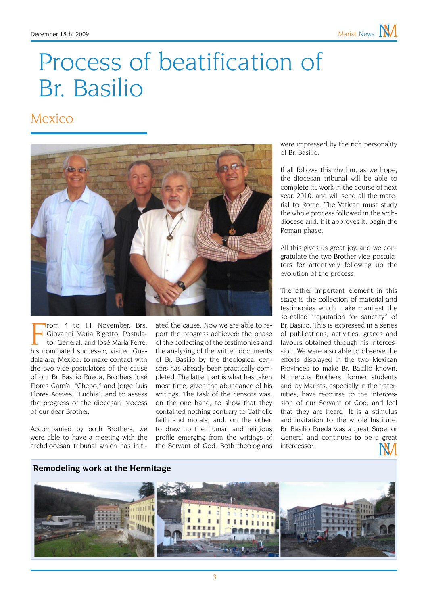## Process of beatification of Br. Basilio

### Mexico



From 4 to 11 November, Brs.<br>
Giovanni Maria Bigotto, Postula-<br>
tor General, and José María Ferre,<br>
his nominated successor, visited Guarom 4 to 11 November, Brs. Giovanni Maria Bigotto, Postulator General, and José María Ferre, dalajara, Mexico, to make contact with the two vice-postulators of the cause of our Br. Basilio Rueda, Brothers José Flores García, "Chepo," and Jorge Luis Flores Aceves, "Luchis", and to assess the progress of the diocesan process of our dear Brother.

Accompanied by both Brothers, we were able to have a meeting with the archdiocesan tribunal which has initi-

**Remodeling work at the Hermitage**

ated the cause. Now we are able to report the progress achieved: the phase of the collecting of the testimonies and the analyzing of the written documents of Br. Basilio by the theological censors has already been practically completed. The latter part is what has taken most time, given the abundance of his writings. The task of the censors was, on the one hand, to show that they contained nothing contrary to Catholic faith and morals; and, on the other, to draw up the human and religious profile emerging from the writings of the Servant of God. Both theologians

were impressed by the rich personality of Br. Basilio.

If all follows this rhythm, as we hope, the diocesan tribunal will be able to complete its work in the course of next year, 2010, and will send all the material to Rome. The Vatican must study the whole process followed in the archdiocese and, if it approves it, begin the Roman phase.

All this gives us great joy, and we congratulate the two Brother vice-postulators for attentively following up the evolution of the process.

The other important element in this stage is the collection of material and testimonies which make manifest the so-called "reputation for sanctity" of Br. Basilio. This is expressed in a series of publications, activities, graces and favours obtained through his intercession. We were also able to observe the efforts displayed in the two Mexican Provinces to make Br. Basilio known Numerous Brothers, former students and lay Marists, especially in the fraternities, have recourse to the intercession of our Servant of God, and feel that they are heard. It is a stimulus and invitation to the whole Institute. Br. Basilio Rueda was a great Superior General and continues to be a great intercessor.